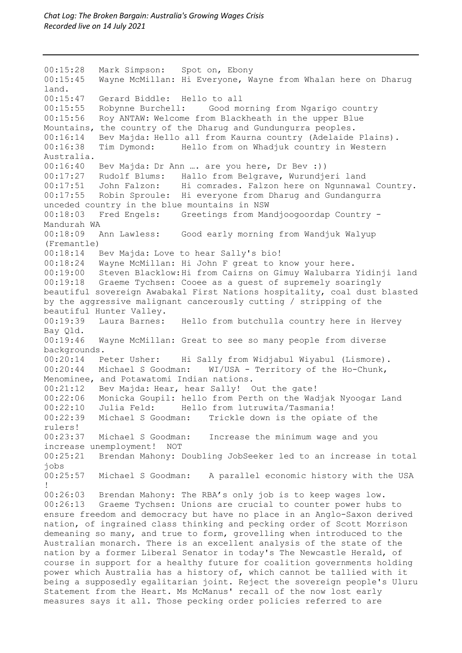00:15:28 Mark Simpson: Spot on, Ebony 00:15:45 Wayne McMillan: Hi Everyone, Wayne from Whalan here on Dharug land. 00:15:47 Gerard Biddle: Hello to all 00:15:55 Robynne Burchell: Good morning from Ngarigo country 00:15:56 Roy ANTAW: Welcome from Blackheath in the upper Blue Mountains, the country of the Dharug and Gundungurra peoples. 00:16:14 Bev Majda: Hello all from Kaurna country (Adelaide Plains).<br>00:16:38 Tim Dymond: Hello from on Whadiuk country in Western Tim Dymond: Hello from on Whadjuk country in Western Australia.<br>00:16:40 Bev Majda: Dr Ann …. are you here, Dr Bev :)) 00:17:27 Rudolf Blums: Hallo from Belgrave, Wurundjeri land 00:17:51 John Falzon: Hi comrades. Falzon here on Ngunnawal Country. 00:17:55 Robin Sproule: Hi everyone from Dharug and Gundangurra unceded country in the blue mountains in NSW 00:18:03 Fred Engels: Greetings from Mandjoogoordap Country - Mandurah WA<br>00:18:09 Ann Lawless: Good early morning from Wandjuk Walyup (Fremantle) 00:18:14 Bev Majda: Love to hear Sally's bio! 00:18:24 Wayne McMillan: Hi John F great to know your here. 00:19:00 Steven Blacklow:Hi from Cairns on Gimuy Walubarra Yidinji land 00:19:18 Graeme Tychsen: Cooee as a guest of supremely soaringly beautiful sovereign Awabakal First Nations hospitality, coal dust blasted by the aggressive malignant cancerously cutting / stripping of the beautiful Hunter Valley.<br>00:19:39 Laura Barnes: Hello from butchulla country here in Hervey Bay Qld.<br>00:19:46 Wayne McMillan: Great to see so many people from diverse backgrounds. 00:20:14 Peter Usher: Hi Sally from Widjabul Wiyabul (Lismore).<br>00:20:44 Michael S Goodman: WI/USA - Territory of the Ho-Chunk,  $WI/USA$  - Territory of the Ho-Chunk, Menominee, and Potawatomi Indian nations. 00:21:12 Bev Majda: Hear, hear Sally! Out the gate! 00:22:06 Monicka Goupil: hello from Perth on the Wadjak Nyoogar Land<br>00:22:10 Julia Feld: Hello from lutruwita/Tasmania! 00:22:10 Julia Feld: Hello from lutruwita/Tasmania!<br>00:22:39 Michael S Goodman: Trickle down is the opiat Trickle down is the opiate of the rulers!<br>00:23:37 Michael S Goodman: Increase the minimum wage and you increase unemployment! NOT 00:25:21 Brendan Mahony: Doubling JobSeeker led to an increase in total jobs 00:25:57 Michael S Goodman: A parallel economic history with the USA ! 00:26:03 Brendan Mahony: The RBA's only job is to keep wages low. 00:26:13 Graeme Tychsen: Unions are crucial to counter power hubs to ensure freedom and democracy but have no place in an Anglo-Saxon derived nation, of ingrained class thinking and pecking order of Scott Morrison demeaning so many, and true to form, grovelling when introduced to the Australian monarch. There is an excellent analysis of the state of the nation by a former Liberal Senator in today's The Newcastle Herald, of course in support for a healthy future for coalition governments holding power which Australia has a history of, which cannot be tallied with it being a supposedly egalitarian joint. Reject the sovereign people's Uluru Statement from the Heart. Ms McManus' recall of the now lost early measures says it all. Those pecking order policies referred to are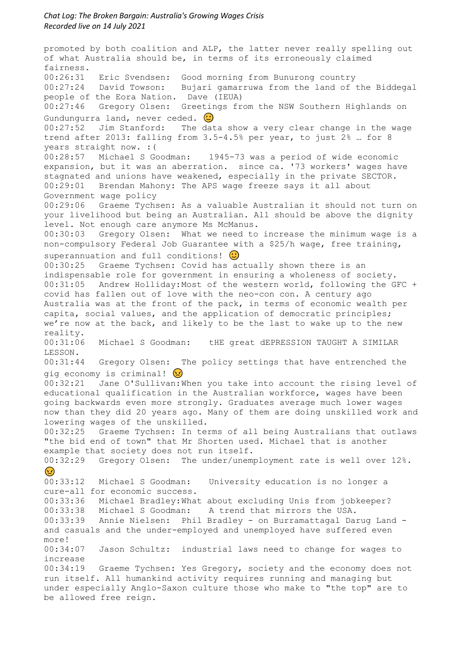promoted by both coalition and ALP, the latter never really spelling out of what Australia should be, in terms of its erroneously claimed fairness. 00:26:31 Eric Svendsen: Good morning from Bunurong country 00:27:24 David Towson: Bujari gamarruwa from the land of the Biddegal people of the Eora Nation. Dave (IEUA) 00:27:46 Gregory Olsen: Greetings from the NSW Southern Highlands on Gundungurra land, never ceded.  $\bigcirc$ 00:27:52 Jim Stanford: The data show a very clear change in the wage trend after 2013: falling from 3.5-4.5% per year, to just 2% … for 8 years straight now. : (<br>00:28:57 Michael S Goodman: 1945-73 was a period of wide economic expansion, but it was an aberration. since ca. '73 workers' wages have stagnated and unions have weakened, especially in the private SECTOR. 00:29:01 Brendan Mahony: The APS wage freeze says it all about Government wage policy 00:29:06 Graeme Tychsen: As a valuable Australian it should not turn on your livelihood but being an Australian. All should be above the dignity level. Not enough care anymore Ms McManus.<br>00:30:03 Gregory Olsen: What we need to Gregory Olsen: What we need to increase the minimum wage is a non-compulsory Federal Job Guarantee with a \$25/h wage, free training, superannuation and full conditions!  $\bigcirc$ 00:30:25 Graeme Tychsen: Covid has actually shown there is an indispensable role for government in ensuring a wholeness of society. 00:31:05 Andrew Holliday:Most of the western world, following the GFC + covid has fallen out of love with the neo-con con. A century ago Australia was at the front of the pack, in terms of economic wealth per capita, social values, and the application of democratic principles; we're now at the back, and likely to be the last to wake up to the new reality.<br>00:31:06 Michael S Goodman: tHE great dEPRESSION TAUGHT A SIMILAR LESSON. 00:31:44 Gregory Olsen: The policy settings that have entrenched the gig economy is criminal!  $\Omega$ 00:32:21 Jane O'Sullivan:When you take into account the rising level of educational qualification in the Australian workforce, wages have been going backwards even more strongly. Graduates average much lower wages now than they did 20 years ago. Many of them are doing unskilled work and lowering wages of the unskilled. 00:32:25 Graeme Tychsen: In terms of all being Australians that outlaws "the bid end of town" that Mr Shorten used. Michael that is another example that society does not run itself. 00:32:29 Gregory Olsen: The under/unemployment rate is well over 12%.  $\odot$ 00:33:12 Michael S Goodman: University education is no longer a cure-all for economic success. 00:33:36 Michael Bradley:What about excluding Unis from jobkeeper? 00:33:38 Michael S Goodman: A trend that mirrors the USA. 00:33:39 Annie Nielsen: Phil Bradley - on Burramattagal Darug Land and casuals and the under-employed and unemployed have suffered even more!<br> $00:34:07$ Jason Schultz: industrial laws need to change for wages to increase 00:34:19 Graeme Tychsen: Yes Gregory, society and the economy does not run itself. All humankind activity requires running and managing but under especially Anglo-Saxon culture those who make to "the top" are to be allowed free reign.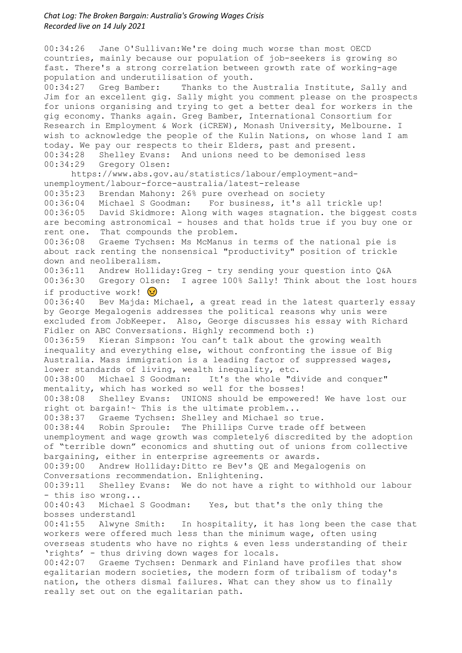00:34:26 Jane O'Sullivan:We're doing much worse than most OECD countries, mainly because our population of job-seekers is growing so fast. There's a strong correlation between growth rate of working-age population and underutilisation of youth.<br>00:34:27 Greg Bamber: Thanks to the. Thanks to the Australia Institute, Sally and Jim for an excellent gig. Sally might you comment please on the prospects for unions organising and trying to get a better deal for workers in the gig economy. Thanks again. Greg Bamber, International Consortium for Research in Employment & Work (iCREW), Monash University, Melbourne. I wish to acknowledge the people of the Kulin Nations, on whose land I am today. We pay our respects to their Elders, past and present. 00:34:28 Shelley Evans: And unions need to be demonised less 00:34:29 Gregory Olsen: https://www.abs.gov.au/statistics/labour/employment-andunemployment/labour-force-australia/latest-release 00:35:23 Brendan Mahony: 26% pure overhead on society 00:36:04 Michael S Goodman: For business, it's all trickle up! 00:36:05 David Skidmore: Along with wages stagnation. the biggest costs are becoming astronomical - houses and that holds true if you buy one or rent one. That compounds the problem. 00:36:08 Graeme Tychsen: Ms McManus in terms of the national pie is about rack renting the nonsensical "productivity" position of trickle down and neoliberalism. 00:36:11 Andrew Holliday:Greg - try sending your question into Q&A 00:36:30 Gregory Olsen: I agree 100% Sally! Think about the lost hours if productive work!  $\Omega$ 00:36:40 Bev Majda: Michael, a great read in the latest quarterly essay by George Megalogenis addresses the political reasons why unis were excluded from JobKeeper. Also, George discusses his essay with Richard Fidler on ABC Conversations. Highly recommend both :)<br>00:36:59 Kieran Simpson: You can't talk about the q Kieran Simpson: You can't talk about the growing wealth inequality and everything else, without confronting the issue of Big Australia. Mass immigration is a leading factor of suppressed wages, lower standards of living, wealth inequality, etc.<br>00:38:00 Michael S Goodman: It's the whole "di It's the whole "divide and conquer" mentality, which has worked so well for the bosses! 00:38:08 Shelley Evans: UNIONS should be empowered! We have lost our right ot bargain!~ This is the ultimate problem... 00:38:37 Graeme Tychsen: Shelley and Michael so true. 00:38:44 Robin Sproule: The Phillips Curve trade off between unemployment and wage growth was completely6 discredited by the adoption of "terrible down" economics and shutting out of unions from collective bargaining, either in enterprise agreements or awards. 00:39:00 Andrew Holliday:Ditto re Bev's QE and Megalogenis on Conversations recommendation. Enlightening. 00:39:11 Shelley Evans: We do not have a right to withhold our labour - this iso wrong... 00:40:43 Michael S Goodman: Yes, but that's the only thing the bosses understand1<br>00:41:55 Alwyne Smith: In hospitality, it has long been the case that workers were offered much less than the minimum wage, often using overseas students who have no rights & even less understanding of their 'rights' - thus driving down wages for locals. 00:42:07 Graeme Tychsen: Denmark and Finland have profiles that show egalitarian modern societies, the modern form of tribalism of today's nation, the others dismal failures. What can they show us to finally really set out on the egalitarian path.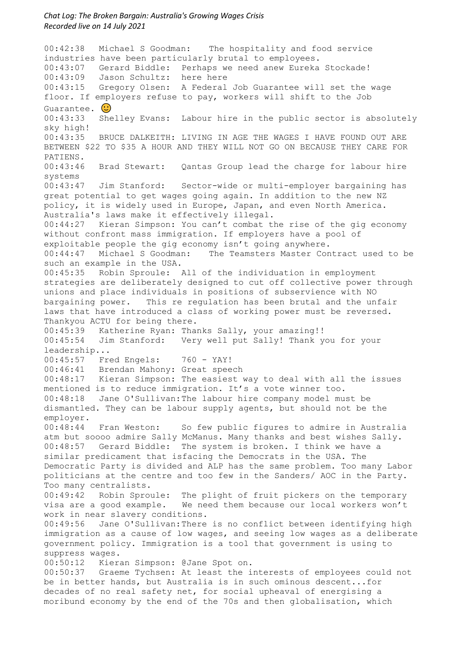00:42:38 Michael S Goodman: The hospitality and food service industries have been particularly brutal to employees. 00:43:07 Gerard Biddle: Perhaps we need anew Eureka Stockade! 00:43:09 Jason Schultz: here here 00:43:15 Gregory Olsen: A Federal Job Guarantee will set the wage floor. If employers refuse to pay, workers will shift to the Job Guarantee.  $\odot$ 00:43:33 Shelley Evans: Labour hire in the public sector is absolutely sky high! 00:43:35 BRUCE DALKEITH: LIVING IN AGE THE WAGES I HAVE FOUND OUT ARE BETWEEN \$22 TO \$35 A HOUR AND THEY WILL NOT GO ON BECAUSE THEY CARE FOR PATIENS. 00:43:46 Brad Stewart: Qantas Group lead the charge for labour hire systems 00:43:47 Jim Stanford: Sector-wide or multi-employer bargaining has great potential to get wages going again. In addition to the new NZ policy, it is widely used in Europe, Japan, and even North America. Australia's laws make it effectively illegal. 00:44:27 Kieran Simpson: You can't combat the rise of the gig economy without confront mass immigration. If employers have a pool of exploitable people the gig economy isn't going anywhere.<br>00:44:47 Michael S Goodman: The Teamsters Master Con The Teamsters Master Contract used to be such an example in the USA. 00:45:35 Robin Sproule: All of the individuation in employment strategies are deliberately designed to cut off collective power through unions and place individuals in positions of subservience with NO bargaining power. This re regulation has been brutal and the unfair laws that have introduced a class of working power must be reversed. Thankyou ACTU for being there. 00:45:39 Katherine Ryan: Thanks Sally, your amazing!!<br>00:45:54 Jim Stanford: Very well put Sally! Thank y Jim Stanford: Very well put Sally! Thank you for your leadership... 00:45:57 Fred Engels: 760 - YAY! 00:46:41 Brendan Mahony: Great speech 00:10:11 Exenden Henry: The easiest way to deal with all the issues<br>00:48:17 Kieran Simpson: The easiest way to deal with all the issues mentioned is to reduce immigration. It's a vote winner too. 00:48:18 Jane O'Sullivan:The labour hire company model must be dismantled. They can be labour supply agents, but should not be the employer.<br>00:48:44 Fran Weston: So few public figures to admire in Australia atm but soooo admire Sally McManus. Many thanks and best wishes Sally. 00:48:57 Gerard Biddle: The system is broken. I think we have a similar predicament that isfacing the Democrats in the USA. The Democratic Party is divided and ALP has the same problem. Too many Labor politicians at the centre and too few in the Sanders/ AOC in the Party. Too many centralists. 00:49:42 Robin Sproule: The plight of fruit pickers on the temporary<br>visa are a good example. We need them because our local workers won't We need them because our local workers won't work in near slavery conditions. 00:49:56 Jane O'Sullivan:There is no conflict between identifying high immigration as a cause of low wages, and seeing low wages as a deliberate government policy. Immigration is a tool that government is using to suppress wages.<br>00:50:12 Kiera Kieran Simpson: @Jane Spot on. 00:50:37 Graeme Tychsen: At least the interests of employees could not be in better hands, but Australia is in such ominous descent...for decades of no real safety net, for social upheaval of energising a moribund economy by the end of the 70s and then globalisation, which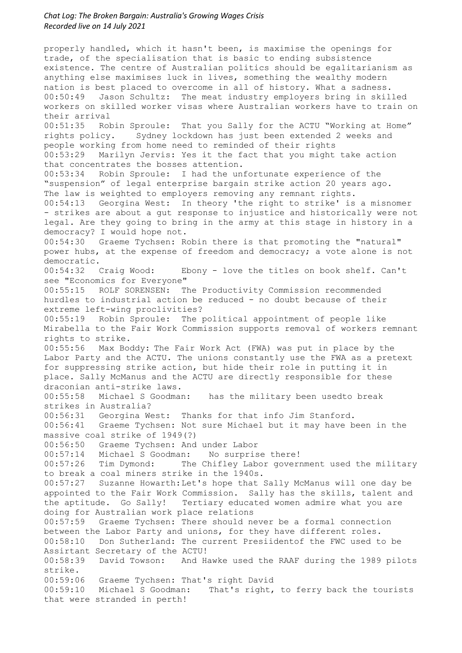properly handled, which it hasn't been, is maximise the openings for trade, of the specialisation that is basic to ending subsistence existence. The centre of Australian politics should be egalitarianism as anything else maximises luck in lives, something the wealthy modern nation is best placed to overcome in all of history. What a sadness. 00:50:49 Jason Schultz: The meat industry employers bring in skilled workers on skilled worker visas where Australian workers have to train on their arrival<br>00:51:35 Rob Robin Sproule: That you Sally for the ACTU "Working at Home" rights policy. Sydney lockdown has just been extended 2 weeks and people working from home need to reminded of their rights 00:53:29 Marilyn Jervis: Yes it the fact that you might take action that concentrates the bosses attention. 00:53:34 Robin Sproule: I had the unfortunate experience of the "suspension" of legal enterprise bargain strike action 20 years ago. The law is weighted to employers removing any remnant rights. 00:54:13 Georgina West: In theory 'the right to strike' is a misnomer - strikes are about a gut response to injustice and historically were not legal. Are they going to bring in the army at this stage in history in a democracy? I would hope not. 00:54:30 Graeme Tychsen: Robin there is that promoting the "natural" power hubs, at the expense of freedom and democracy; a vote alone is not democratic.<br>00:54:32 Craig Wood: Ebony - love the titles on book shelf. Can't see "Economics for Everyone" 00:55:15 ROLF SORENSEN: The Productivity Commission recommended hurdles to industrial action be reduced - no doubt because of their extreme left-wing proclivities? 00:55:19 Robin Sproule: The political appointment of people like Mirabella to the Fair Work Commission supports removal of workers remnant rights to strike. 00:55:56 Max Boddy: The Fair Work Act (FWA) was put in place by the Labor Party and the ACTU. The unions constantly use the FWA as a pretext for suppressing strike action, but hide their role in putting it in place. Sally McManus and the ACTU are directly responsible for these draconian anti-strike laws. 00:55:58 Michael S Goodman: has the military been usedto break strikes in Australia? 00:56:31 Georgina West: Thanks for that info Jim Stanford. 00:56:41 Graeme Tychsen: Not sure Michael but it may have been in the massive coal strike of 1949(?) 00:56:50 Graeme Tychsen: And under Labor 00:57:14 Michael S Goodman: No surprise there!<br>00:57:26 Tim Dymond: The Chifley Labor gover The Chifley Labor government used the military to break a coal miners strike in the 1940s. 00:57:27 Suzanne Howarth:Let's hope that Sally McManus will one day be appointed to the Fair Work Commission. Sally has the skills, talent and the aptitude. Go Sally! Tertiary educated women admire what you are doing for Australian work place relations<br>00:57:59 Graeme Tychsen: There should ne Graeme Tychsen: There should never be a formal connection between the Labor Party and unions, for they have different roles. 00:58:10 Don Sutherland: The current Presiidentof the FWC used to be Assirtant Secretary of the ACTU! 00:58:39 David Towson: And Hawke used the RAAF during the 1989 pilots strike. 00:59:06 Graeme Tychsen: That's right David 00:59:10 Michael S Goodman: That's right, to ferry back the tourists that were stranded in perth!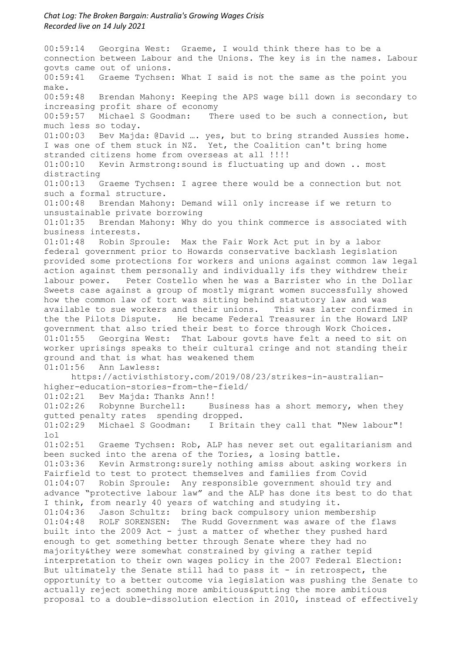00:59:14 Georgina West: Graeme, I would think there has to be a connection between Labour and the Unions. The key is in the names. Labour govts came out of unions. 00:59:41 Graeme Tychsen: What I said is not the same as the point you make. 00:59:48 Brendan Mahony: Keeping the APS wage bill down is secondary to increasing profit share of economy<br>00:59:57 Michael S Goodman: The There used to be such a connection, but much less so today. 01:00:03 Bev Majda: @David …. yes, but to bring stranded Aussies home. I was one of them stuck in NZ. Yet, the Coalition can't bring home stranded citizens home from overseas at all !!!! 01:00:10 Kevin Armstrong:sound is fluctuating up and down .. most distracting<br> $01:00:13$ Graeme Tychsen: I agree there would be a connection but not such a formal structure. 01:00:48 Brendan Mahony: Demand will only increase if we return to unsustainable private borrowing 01:01:35 Brendan Mahony: Why do you think commerce is associated with business interests. 01:01:48 Robin Sproule: Max the Fair Work Act put in by a labor federal government prior to Howards conservative backlash legislation provided some protections for workers and unions against common law legal action against them personally and individually ifs they withdrew their labour power. Peter Costello when he was a Barrister who in the Dollar Sweets case against a group of mostly migrant women successfully showed how the common law of tort was sitting behind statutory law and was available to sue workers and their unions. This was later confirmed in the the Pilots Dispute. He became Federal Treasurer in the Howard LNP government that also tried their best to force through Work Choices. 01:01:55 Georgina West: That Labour govts have felt a need to sit on worker uprisings speaks to their cultural cringe and not standing their ground and that is what has weakened them<br>01:01:56 Ann Lawless: Ann Lawless: https://activisthistory.com/2019/08/23/strikes-in-australianhigher-education-stories-from-the-field/ 01:02:21 Bev Majda: Thanks Ann!!<br>01:02:26 Robynne Burchell: B Business has a short memory, when they gutted penalty rates spending dropped.<br>01:02:29 Michael S Goodman: I Brita I Britain they call that "New labour"! lol 01:02:51 Graeme Tychsen: Rob, ALP has never set out egalitarianism and been sucked into the arena of the Tories, a losing battle. 01:03:36 Kevin Armstrong:surely nothing amiss about asking workers in Fairfield to test to protect themselves and families from Covid 01:04:07 Robin Sproule: Any responsible government should try and advance "protective labour law" and the ALP has done its best to do that I think, from nearly 40 years of watching and studying it. Jason Schultz: bring back compulsory union membership 01:04:48 ROLF SORENSEN: The Rudd Government was aware of the flaws built into the 2009 Act - just a matter of whether they pushed hard enough to get something better through Senate where they had no majority&they were somewhat constrained by giving a rather tepid interpretation to their own wages policy in the 2007 Federal Election: But ultimately the Senate still had to pass it - in retrospect, the opportunity to a better outcome via legislation was pushing the Senate to actually reject something more ambitious&putting the more ambitious proposal to a double-dissolution election in 2010, instead of effectively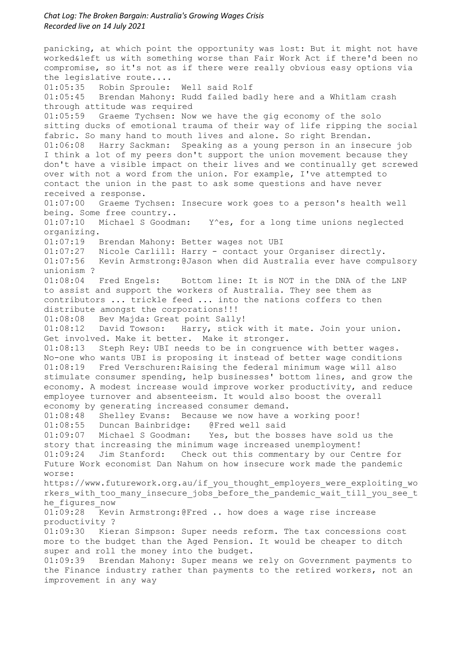panicking, at which point the opportunity was lost: But it might not have worked&left us with something worse than Fair Work Act if there'd been no compromise, so it's not as if there were really obvious easy options via the legislative route.... 01:05:35 Robin Sproule: Well said Rolf 01:05:45 Brendan Mahony: Rudd failed badly here and a Whitlam crash through attitude was required 01:05:59 Graeme Tychsen: Now we have the gig economy of the solo sitting ducks of emotional trauma of their way of life ripping the social fabric. So many hand to mouth lives and alone. So right Brendan. 01:06:08 Harry Sackman: Speaking as a young person in an insecure job I think a lot of my peers don't support the union movement because they don't have a visible impact on their lives and we continually get screwed over with not a word from the union. For example, I've attempted to contact the union in the past to ask some questions and have never received a response. 01:07:00 Graeme Tychsen: Insecure work goes to a person's health well being. Some free country..<br>01:07:10 Michael S Goodman: Y^es, for a long time unions neglected organizing. 01:07:19 Brendan Mahony: Better wages not UBI 01:07:27 Nicole Carlill: Harry - contact your Organiser directly. 01:07:56 Kevin Armstrong:@Jason when did Australia ever have compulsory unionism ? 01:08:04 Fred Engels: Bottom line: It is NOT in the DNA of the LNP to assist and support the workers of Australia. They see them as contributors ... trickle feed ... into the nations coffers to then distribute amongst the corporations!!! 01:08:08 Bev Majda: Great point Sally! 01:08:12 David Towson: Harry, stick with it mate. Join your union. Get involved. Make it better. Make it stronger. 01:08:13 Steph Rey: UBI needs to be in congruence with better wages. No-one who wants UBI is proposing it instead of better wage conditions 01:08:19 Fred Verschuren:Raising the federal minimum wage will also stimulate consumer spending, help businesses' bottom lines, and grow the economy. A modest increase would improve worker productivity, and reduce employee turnover and absenteeism. It would also boost the overall economy by generating increased consumer demand. 01:08:48 Shelley Evans: Because we now have a working poor! 01:08:55 Duncan Bainbridge: @Fred well said 01:09:07 Michael S Goodman: Yes, but the bosses have sold us the story that increasing the minimum wage increased unemployment! 01:09:24 Jim Stanford: Check out this commentary by our Centre for Future Work economist Dan Nahum on how insecure work made the pandemic worse: https://www.futurework.org.au/if\_you\_thought\_employers\_were\_exploiting\_wo rkers with too many insecure jobs before the pandemic wait till you see t he figures now 01:09:28 Kevin Armstrong:@Fred .. how does a wage rise increase productivity ? 01:09:30 Kieran Simpson: Super needs reform. The tax concessions cost more to the budget than the Aged Pension. It would be cheaper to ditch super and roll the money into the budget.<br>01:09:39 Brendan Mahony: Super means we Brendan Mahony: Super means we rely on Government payments to the Finance industry rather than payments to the retired workers, not an improvement in any way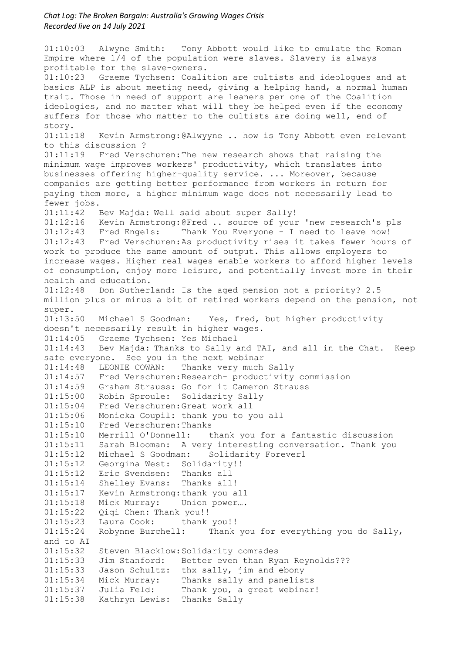01:10:03 Alwyne Smith: Tony Abbott would like to emulate the Roman Empire where 1/4 of the population were slaves. Slavery is always profitable for the slave-owners. 01:10:23 Graeme Tychsen: Coalition are cultists and ideologues and at basics ALP is about meeting need, giving a helping hand, a normal human trait. Those in need of support are leaners per one of the Coalition ideologies, and no matter what will they be helped even if the economy suffers for those who matter to the cultists are doing well, end of story.<br> $01:11:18$ Kevin Armstrong:@Alwyyne .. how is Tony Abbott even relevant to this discussion ? 01:11:19 Fred Verschuren:The new research shows that raising the minimum wage improves workers' productivity, which translates into businesses offering higher-quality service. ... Moreover, because companies are getting better performance from workers in return for paying them more, a higher minimum wage does not necessarily lead to fewer jobs. 01:11:42 Bev Majda: Well said about super Sally! 01:12:16 Kevin Armstrong:@Fred .. source of your 'new research's pls 01:12:43 Fred Engels: Thank You Everyone - I need to leave now! 01:12:43 Fred Verschuren:As productivity rises it takes fewer hours of work to produce the same amount of output. This allows employers to increase wages. Higher real wages enable workers to afford higher levels of consumption, enjoy more leisure, and potentially invest more in their health and education. 01:12:48 Don Sutherland: Is the aged pension not a priority? 2.5 million plus or minus a bit of retired workers depend on the pension, not super.<br>01:13:50 Michael S Goodman: Yes, fred, but higher productivity doesn't necessarily result in higher wages. 01:14:05 Graeme Tychsen: Yes Michael 01:14:43 Bev Majda: Thanks to Sally and TAI, and all in the Chat. Keep safe everyone. See you in the next webinar 01:14:48 LEONIE COWAN: Thanks very much Sally 01:14:57 Fred Verschuren:Research- productivity commission 01:14:59 Graham Strauss: Go for it Cameron Strauss 01:15:00 Robin Sproule: Solidarity Sally 01:15:04 Fred Verschuren:Great work all 01:15:06 Monicka Goupil: thank you to you all 01:15:10 Fred Verschuren:Thanks 01:15:10 Merrill O'Donnell: thank you for a fantastic discussion 01:15:11 Sarah Blooman: A very interesting conversation. Thank you 01:15:12 Michael S Goodman: Solidarity Forever1 01:15:12 Georgina West: Solidarity!! 01:15:12 Eric Svendsen: Thanks all 01:15:14 Shelley Evans: Thanks all! 01:15:17 Kevin Armstrong:thank you all 01:15:18 Mick Murray: Union power…. 01:15:22 Qiqi Chen: Thank you!! 01:15:23 Laura Cook: thank you!! 01:15:24 Robynne Burchell: Thank you for everything you do Sally, and to AI 01:15:32 Steven Blacklow:Solidarity comrades 01:15:33 Jim Stanford: Better even than Ryan Reynolds??? 01:15:33 Jason Schultz: thx sally, jim and ebony 01:15:34 Mick Murray: Thanks sally and panelists 01:15:37 Julia Feld: Thank you, a great webinar! 01:15:38 Kathryn Lewis: Thanks Sally